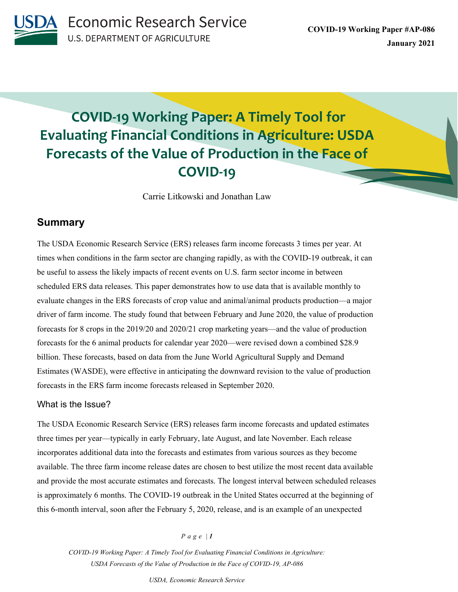

# **COVID-19 Working Paper: A Timely Tool for Evaluating Financial Conditions in Agriculture: USDA Forecasts of the Value of Production in the Face of COVID-19**

Carrie Litkowski and Jonathan Law

# **Summary**

The USDA Economic Research Service (ERS) releases farm income forecasts 3 times per year. At times when conditions in the farm sector are changing rapidly, as with the COVID-19 outbreak, it can be useful to assess the likely impacts of recent events on U.S. farm sector income in between scheduled ERS data releases. This paper demonstrates how to use data that is available monthly to evaluate changes in the ERS forecasts of crop value and animal/animal products production—a major driver of farm income. The study found that between February and June 2020, the value of production forecasts for 8 crops in the 2019/20 and 2020/21 crop marketing years—and the value of production forecasts for the 6 animal products for calendar year 2020—were revised down a combined \$28.9 billion. These forecasts, based on data from the June World Agricultural Supply and Demand Estimates (WASDE), were effective in anticipating the downward revision to the value of production forecasts in the ERS farm income forecasts released in September 2020.

# What is the Issue?

The USDA Economic Research Service (ERS) releases farm income forecasts and updated estimates three times per year—typically in early February, late August, and late November. Each release incorporates additional data into the forecasts and estimates from various sources as they become available. The three farm income release dates are chosen to best utilize the most recent data available and provide the most accurate estimates and forecasts. The longest interval between scheduled releases is approximately 6 months. The COVID-19 outbreak in the United States occurred at the beginning of this 6-month interval, soon after the February 5, 2020, release, and is an example of an unexpected

### *Page | 1*

*COVID-19 Working Paper: A Timely Tool for Evaluating Financial Conditions in Agriculture: USDA Forecasts of the Value of Production in the Face of COVID-19, AP-086*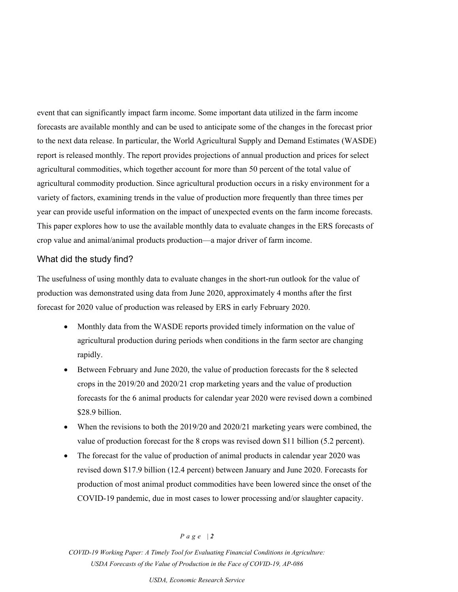event that can significantly impact farm income. Some important data utilized in the farm income forecasts are available monthly and can be used to anticipate some of the changes in the forecast prior to the next data release. In particular, the World Agricultural Supply and Demand Estimates (WASDE) report is released monthly. The report provides projections of annual production and prices for select agricultural commodities, which together account for more than 50 percent of the total value of agricultural commodity production. Since agricultural production occurs in a risky environment for a variety of factors, examining trends in the value of production more frequently than three times per year can provide useful information on the impact of unexpected events on the farm income forecasts. This paper explores how to use the available monthly data to evaluate changes in the ERS forecasts of crop value and animal/animal products production—a major driver of farm income.

## What did the study find?

The usefulness of using monthly data to evaluate changes in the short-run outlook for the value of production was demonstrated using data from June 2020, approximately 4 months after the first forecast for 2020 value of production was released by ERS in early February 2020.

- Monthly data from the WASDE reports provided timely information on the value of agricultural production during periods when conditions in the farm sector are changing rapidly.
- Between February and June 2020, the value of production forecasts for the 8 selected crops in the 2019/20 and 2020/21 crop marketing years and the value of production forecasts for the 6 animal products for calendar year 2020 were revised down a combined \$28.9 billion.
- When the revisions to both the 2019/20 and 2020/21 marketing years were combined, the value of production forecast for the 8 crops was revised down \$11 billion (5.2 percent).
- The forecast for the value of production of animal products in calendar year 2020 was revised down \$17.9 billion (12.4 percent) between January and June 2020. Forecasts for production of most animal product commodities have been lowered since the onset of the COVID-19 pandemic, due in most cases to lower processing and/or slaughter capacity.

#### *Page | 2*

*COVID-19 Working Paper: A Timely Tool for Evaluating Financial Conditions in Agriculture: USDA Forecasts of the Value of Production in the Face of COVID-19, AP-086*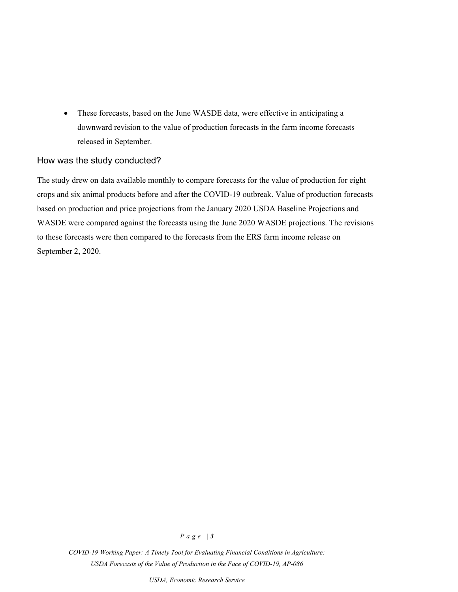• These forecasts, based on the June WASDE data, were effective in anticipating a downward revision to the value of production forecasts in the farm income forecasts released in September.

## How was the study conducted?

The study drew on data available monthly to compare forecasts for the value of production for eight crops and six animal products before and after the COVID-19 outbreak. Value of production forecasts based on production and price projections from the January 2020 USDA Baseline Projections and WASDE were compared against the forecasts using the June 2020 WASDE projections. The revisions to these forecasts were then compared to the forecasts from the ERS farm income release on September 2, 2020.

# *Page | 3*

*COVID-19 Working Paper: A Timely Tool for Evaluating Financial Conditions in Agriculture: USDA Forecasts of the Value of Production in the Face of COVID-19, AP-086*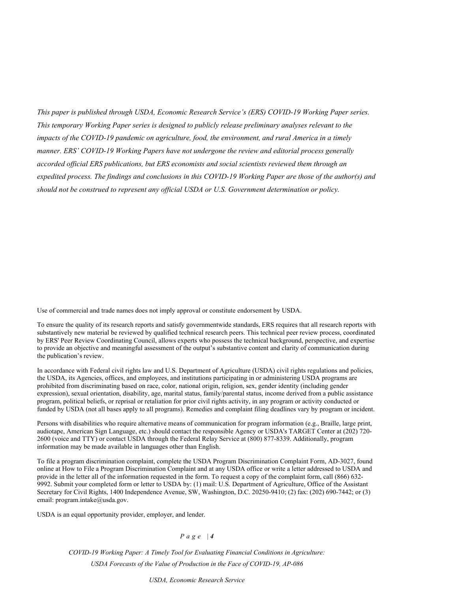*This paper is published through USDA, Economic Research Service's (ERS) COVID-19 Working Paper series. This temporary Working Paper series is designed to publicly release preliminary analyses relevant to the impacts of the COVID-19 pandemic on agriculture, food, the environment, and rural America in a timely manner. ERS' COVID-19 Working Papers have not undergone the review and editorial process generally accorded official ERS publications, but ERS economists and social scientists reviewed them through an expedited process. The findings and conclusions in this COVID-19 Working Paper are those of the author(s) and should not be construed to represent any official USDA or U.S. Government determination or policy.*

Use of commercial and trade names does not imply approval or constitute endorsement by USDA.

To ensure the quality of its research reports and satisfy governmentwide standards, ERS requires that all research reports with substantively new material be reviewed by qualified technical research peers. This technical peer review process, coordinated by ERS' Peer Review Coordinating Council, allows experts who possess the technical background, perspective, and expertise to provide an objective and meaningful assessment of the output's substantive content and clarity of communication during the publication's review.

In accordance with Federal civil rights law and U.S. Department of Agriculture (USDA) civil rights regulations and policies, the USDA, its Agencies, offices, and employees, and institutions participating in or administering USDA programs are prohibited from discriminating based on race, color, national origin, religion, sex, gender identity (including gender expression), sexual orientation, disability, age, marital status, family/parental status, income derived from a public assistance program, political beliefs, or reprisal or retaliation for prior civil rights activity, in any program or activity conducted or funded by USDA (not all bases apply to all programs). Remedies and complaint filing deadlines vary by program or incident.

Persons with disabilities who require alternative means of communication for program information (e.g., Braille, large print, audiotape, American Sign Language, etc.) should contact the responsible Agency or USDA's TARGET Center at (202) 720- 2600 (voice and TTY) or contact USDA through the Federal Relay Service at (800) 877-8339. Additionally, program information may be made available in languages other than English.

To file a program discrimination complaint, complete the USDA Program Discrimination Complaint Form, AD-3027, found online at How to File a Program Discrimination Complaint and at any USDA office or write a letter addressed to USDA and provide in the letter all of the information requested in the form. To request a copy of the complaint form, call (866) 632- 9992. Submit your completed form or letter to USDA by: (1) mail: U.S. Department of Agriculture, Office of the Assistant Secretary for Civil Rights, 1400 Independence Avenue, SW, Washington, D.C. 20250-9410; (2) fax: (202) 690-7442; or (3) email: program.intake@usda.gov.

USDA is an equal opportunity provider, employer, and lender.

# *Page | 4*

*COVID-19 Working Paper: A Timely Tool for Evaluating Financial Conditions in Agriculture: USDA Forecasts of the Value of Production in the Face of COVID-19, AP-086*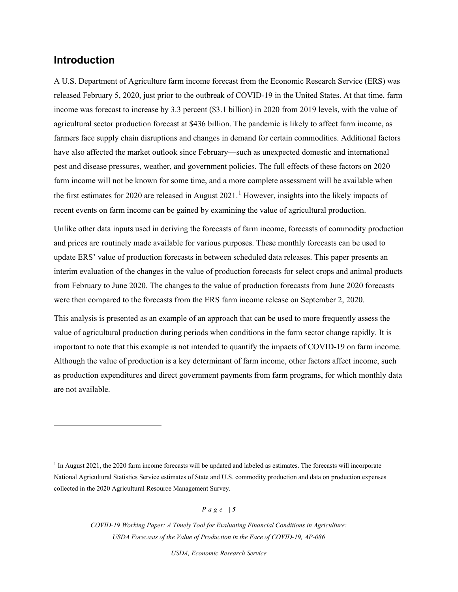# **Introduction**

A U.S. Department of Agriculture farm income forecast from the Economic Research Service (ERS) was released February 5, 2020, just prior to the outbreak of COVID-19 in the United States. At that time, farm income was forecast to increase by 3.3 percent (\$3.1 billion) in 2020 from 2019 levels, with the value of agricultural sector production forecast at \$436 billion. The pandemic is likely to affect farm income, as farmers face supply chain disruptions and changes in demand for certain commodities. Additional factors have also affected the market outlook since February—such as unexpected domestic and international pest and disease pressures, weather, and government policies. The full effects of these factors on 2020 farm income will not be known for some time, and a more complete assessment will be available when the first estimates for 2020 are released in August  $2021<sup>1</sup>$  $2021<sup>1</sup>$  $2021<sup>1</sup>$  However, insights into the likely impacts of recent events on farm income can be gained by examining the value of agricultural production.

Unlike other data inputs used in deriving the forecasts of farm income, forecasts of commodity production and prices are routinely made available for various purposes. These monthly forecasts can be used to update ERS' value of production forecasts in between scheduled data releases. This paper presents an interim evaluation of the changes in the value of production forecasts for select crops and animal products from February to June 2020. The changes to the value of production forecasts from June 2020 forecasts were then compared to the forecasts from the ERS farm income release on September 2, 2020.

This analysis is presented as an example of an approach that can be used to more frequently assess the value of agricultural production during periods when conditions in the farm sector change rapidly. It is important to note that this example is not intended to quantify the impacts of COVID-19 on farm income. Although the value of production is a key determinant of farm income, other factors affect income, such as production expenditures and direct government payments from farm programs, for which monthly data are not available.

*Page | 5*

*COVID-19 Working Paper: A Timely Tool for Evaluating Financial Conditions in Agriculture: USDA Forecasts of the Value of Production in the Face of COVID-19, AP-086* 

<span id="page-4-0"></span> $<sup>1</sup>$  In August 2021, the 2020 farm income forecasts will be updated and labeled as estimates. The forecasts will incorporate</sup> National Agricultural Statistics Service estimates of State and U.S. commodity production and data on production expenses collected in the 2020 Agricultural Resource Management Survey.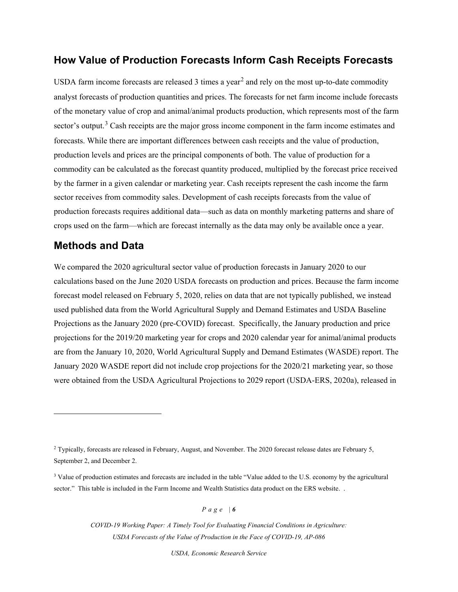# **How Value of Production Forecasts Inform Cash Receipts Forecasts**

USDA farm income forecasts are released 3 times a year<sup>[2](#page-5-0)</sup> and rely on the most up-to-date commodity analyst forecasts of production quantities and prices. The forecasts for net farm income include forecasts of the monetary value of crop and animal/animal products production, which represents most of the farm sector's output.<sup>[3](#page-5-1)</sup> Cash receipts are the major gross income component in the farm income estimates and forecasts. While there are important differences between cash receipts and the value of production, production levels and prices are the principal components of both. The value of production for a commodity can be calculated as the forecast quantity produced, multiplied by the forecast price received by the farmer in a given calendar or marketing year. Cash receipts represent the cash income the farm sector receives from commodity sales. Development of cash receipts forecasts from the value of production forecasts requires additional data—such as data on monthly marketing patterns and share of crops used on the farm—which are forecast internally as the data may only be available once a year.

# **Methods and Data**

We compared the 2020 agricultural sector value of production forecasts in January 2020 to our calculations based on the June 2020 USDA forecasts on production and prices. Because the farm income forecast model released on February 5, 2020, relies on data that are not typically published, we instead used published data from the World Agricultural Supply and Demand Estimates and USDA Baseline Projections as the January 2020 (pre-COVID) forecast. Specifically, the January production and price projections for the 2019/20 marketing year for crops and 2020 calendar year for animal/animal products are from the January 10, 2020, World Agricultural Supply and Demand Estimates (WASDE) report. The January 2020 WASDE report did not include crop projections for the 2020/21 marketing year, so those were obtained from the USDA Agricultural Projections to 2029 report (USDA-ERS, 2020a), released in

*Page | 6*

*COVID-19 Working Paper: A Timely Tool for Evaluating Financial Conditions in Agriculture: USDA Forecasts of the Value of Production in the Face of COVID-19, AP-086* 

<span id="page-5-0"></span><sup>2</sup> Typically, forecasts are released in February, August, and November. The 2020 forecast release dates are February 5, September 2, and December 2.

<span id="page-5-1"></span><sup>&</sup>lt;sup>3</sup> Value of production estimates and forecasts are included in the table "Value added to the U.S. economy by the agricultural sector." This table is included in the Farm Income and Wealth Statistics data product on the ERS website. .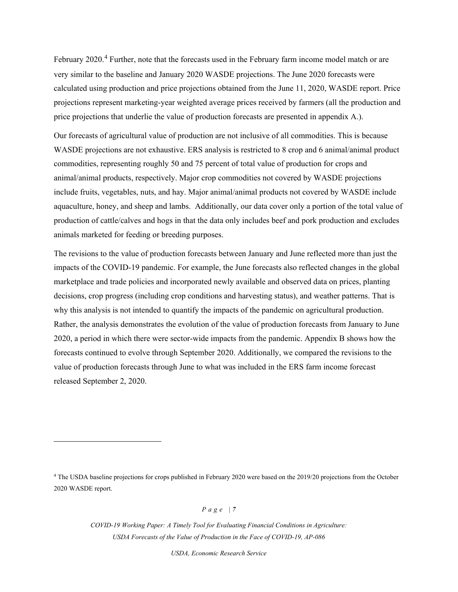February 2020.<sup>[4](#page-6-0)</sup> Further, note that the forecasts used in the February farm income model match or are very similar to the baseline and January 2020 WASDE projections. The June 2020 forecasts were calculated using production and price projections obtained from the June 11, 2020, WASDE report. Price projections represent marketing-year weighted average prices received by farmers (all the production and price projections that underlie the value of production forecasts are presented in appendix A.).

Our forecasts of agricultural value of production are not inclusive of all commodities. This is because WASDE projections are not exhaustive. ERS analysis is restricted to 8 crop and 6 animal/animal product commodities, representing roughly 50 and 75 percent of total value of production for crops and animal/animal products, respectively. Major crop commodities not covered by WASDE projections include fruits, vegetables, nuts, and hay. Major animal/animal products not covered by WASDE include aquaculture, honey, and sheep and lambs. Additionally, our data cover only a portion of the total value of production of cattle/calves and hogs in that the data only includes beef and pork production and excludes animals marketed for feeding or breeding purposes.

The revisions to the value of production forecasts between January and June reflected more than just the impacts of the COVID-19 pandemic. For example, the June forecasts also reflected changes in the global marketplace and trade policies and incorporated newly available and observed data on prices, planting decisions, crop progress (including crop conditions and harvesting status), and weather patterns. That is why this analysis is not intended to quantify the impacts of the pandemic on agricultural production. Rather, the analysis demonstrates the evolution of the value of production forecasts from January to June 2020, a period in which there were sector-wide impacts from the pandemic. Appendix B shows how the forecasts continued to evolve through September 2020. Additionally, we compared the revisions to the value of production forecasts through June to what was included in the ERS farm income forecast released September 2, 2020.

*Page | 7*

*COVID-19 Working Paper: A Timely Tool for Evaluating Financial Conditions in Agriculture: USDA Forecasts of the Value of Production in the Face of COVID-19, AP-086* 

<span id="page-6-0"></span><sup>4</sup> The USDA baseline projections for crops published in February 2020 were based on the 2019/20 projections from the October 2020 WASDE report.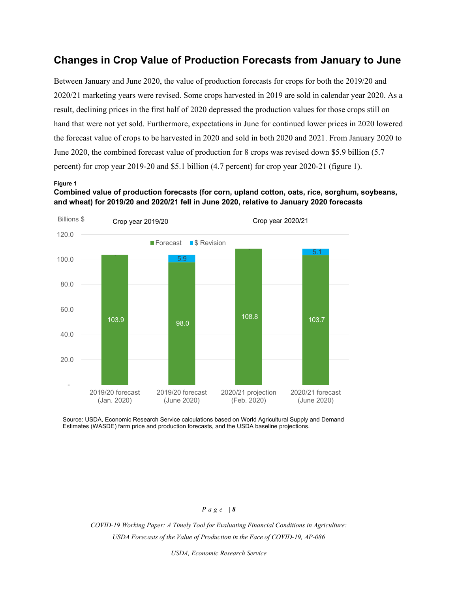# **Changes in Crop Value of Production Forecasts from January to June**

Between January and June 2020, the value of production forecasts for crops for both the 2019/20 and 2020/21 marketing years were revised. Some crops harvested in 2019 are sold in calendar year 2020. As a result, declining prices in the first half of 2020 depressed the production values for those crops still on hand that were not yet sold. Furthermore, expectations in June for continued lower prices in 2020 lowered the forecast value of crops to be harvested in 2020 and sold in both 2020 and 2021. From January 2020 to June 2020, the combined forecast value of production for 8 crops was revised down \$5.9 billion (5.7 percent) for crop year 2019-20 and \$5.1 billion (4.7 percent) for crop year 2020-21 (figure 1).

#### **Figure 1**

**Combined value of production forecasts (for corn, upland cotton, oats, rice, sorghum, soybeans, and wheat) for 2019/20 and 2020/21 fell in June 2020, relative to January 2020 forecasts**



Source: USDA, Economic Research Service calculations based on World Agricultural Supply and Demand Estimates (WASDE) farm price and production forecasts, and the USDA baseline projections.

### *Page | 8*

*COVID-19 Working Paper: A Timely Tool for Evaluating Financial Conditions in Agriculture: USDA Forecasts of the Value of Production in the Face of COVID-19, AP-086*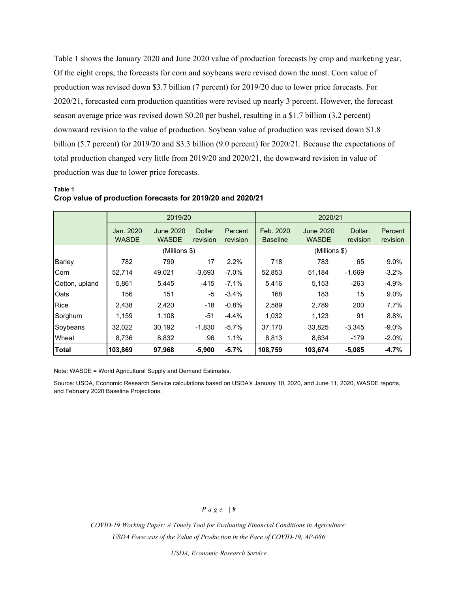Table 1 shows the January 2020 and June 2020 value of production forecasts by crop and marketing year. Of the eight crops, the forecasts for corn and soybeans were revised down the most. Corn value of production was revised down \$3.7 billion (7 percent) for 2019/20 due to lower price forecasts. For 2020/21, forecasted corn production quantities were revised up nearly 3 percent. However, the forecast season average price was revised down \$0.20 per bushel, resulting in a \$1.7 billion (3.2 percent) downward revision to the value of production. Soybean value of production was revised down \$1.8 billion (5.7 percent) for 2019/20 and \$3.3 billion (9.0 percent) for 2020/21. Because the expectations of total production changed very little from 2019/20 and 2020/21, the downward revision in value of production was due to lower price forecasts.

### **Table 1 Crop value of production forecasts for 2019/20 and 2020/21**

|                |                           | 2019/20                          |                    |                     | 2020/21                      |                           |                           |                     |
|----------------|---------------------------|----------------------------------|--------------------|---------------------|------------------------------|---------------------------|---------------------------|---------------------|
|                | Jan. 2020<br><b>WASDE</b> | <b>June 2020</b><br><b>WASDE</b> | Dollar<br>revision | Percent<br>revision | Feb. 2020<br><b>Baseline</b> | June 2020<br><b>WASDE</b> | <b>Dollar</b><br>revision | Percent<br>revision |
|                |                           | (Millions \$)                    |                    |                     | (Millions \$)                |                           |                           |                     |
| Barley         | 782                       | 799                              | 17                 | 2.2%                | 718                          | 783                       | 65                        | 9.0%                |
| Corn           | 52,714                    | 49,021                           | $-3,693$           | $-7.0\%$            | 52,853                       | 51,184                    | $-1,669$                  | $-3.2%$             |
| Cotton, upland | 5.861                     | 5,445                            | $-415$             | $-7.1%$             | 5.416                        | 5.153                     | $-263$                    | $-4.9%$             |
| Oats           | 156                       | 151                              | -5                 | $-3.4%$             | 168                          | 183                       | 15                        | 9.0%                |
| <b>Rice</b>    | 2,438                     | 2,420                            | $-18$              | $-0.8%$             | 2,589                        | 2,789                     | 200                       | 7.7%                |
| Sorghum        | 1.159                     | 1,108                            | $-51$              | $-4.4%$             | 1,032                        | 1,123                     | 91                        | 8.8%                |
| Soybeans       | 32,022                    | 30,192                           | $-1,830$           | $-5.7\%$            | 37,170                       | 33,825                    | $-3,345$                  | $-9.0\%$            |
| Wheat          | 8,736                     | 8,832                            | 96                 | 1.1%                | 8,813                        | 8,634                     | $-179$                    | $-2.0%$             |
| Total          | 103.869                   | 97.968                           | $-5,900$           | $-5.7%$             | 108,759                      | 103,674                   | $-5,085$                  | $-4.7%$             |

Note: WASDE = World Agricultural Supply and Demand Estimates.

Source: USDA, Economic Research Service calculations based on USDA's January 10, 2020, and June 11, 2020, WASDE reports, and February 2020 Baseline Projections.

### *Page | 9*

*COVID-19 Working Paper: A Timely Tool for Evaluating Financial Conditions in Agriculture: USDA Forecasts of the Value of Production in the Face of COVID-19, AP-086*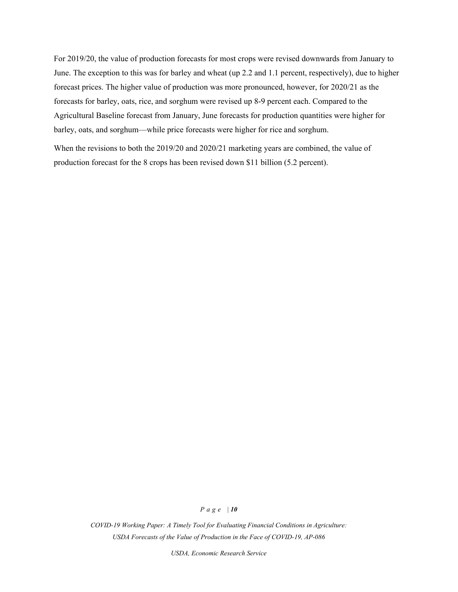For 2019/20, the value of production forecasts for most crops were revised downwards from January to June. The exception to this was for barley and wheat (up 2.2 and 1.1 percent, respectively), due to higher forecast prices. The higher value of production was more pronounced, however, for 2020/21 as the forecasts for barley, oats, rice, and sorghum were revised up 8-9 percent each. Compared to the Agricultural Baseline forecast from January, June forecasts for production quantities were higher for barley, oats, and sorghum—while price forecasts were higher for rice and sorghum.

When the revisions to both the 2019/20 and 2020/21 marketing years are combined, the value of production forecast for the 8 crops has been revised down \$11 billion (5.2 percent).

#### *Page | 10*

*COVID-19 Working Paper: A Timely Tool for Evaluating Financial Conditions in Agriculture: USDA Forecasts of the Value of Production in the Face of COVID-19, AP-086*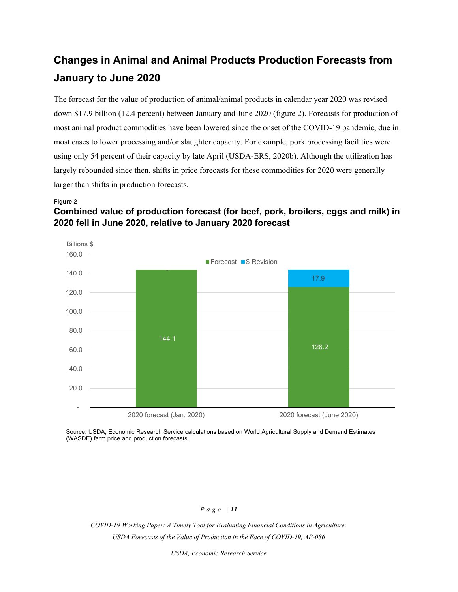# **Changes in Animal and Animal Products Production Forecasts from January to June 2020**

The forecast for the value of production of animal/animal products in calendar year 2020 was revised down \$17.9 billion (12.4 percent) between January and June 2020 (figure 2). Forecasts for production of most animal product commodities have been lowered since the onset of the COVID-19 pandemic, due in most cases to lower processing and/or slaughter capacity. For example, pork processing facilities were using only 54 percent of their capacity by late April (USDA-ERS, 2020b). Although the utilization has largely rebounded since then, shifts in price forecasts for these commodities for 2020 were generally larger than shifts in production forecasts.

### **Figure 2**

# **Combined value of production forecast (for beef, pork, broilers, eggs and milk) in 2020 fell in June 2020, relative to January 2020 forecast**



Source: USDA, Economic Research Service calculations based on World Agricultural Supply and Demand Estimates (WASDE) farm price and production forecasts.

# *Page | 11*

*COVID-19 Working Paper: A Timely Tool for Evaluating Financial Conditions in Agriculture: USDA Forecasts of the Value of Production in the Face of COVID-19, AP-086*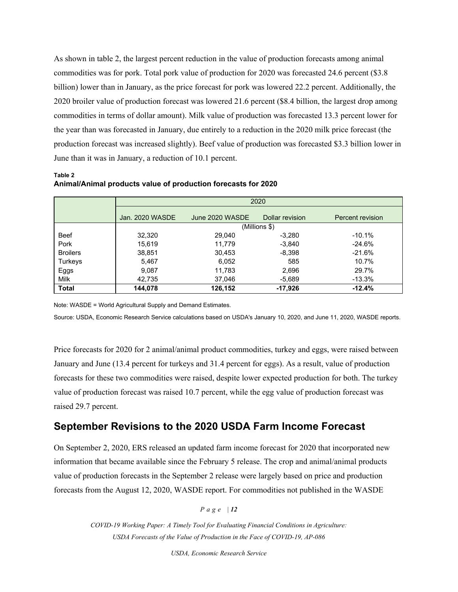As shown in table 2, the largest percent reduction in the value of production forecasts among animal commodities was for pork. Total pork value of production for 2020 was forecasted 24.6 percent (\$3.8 billion) lower than in January, as the price forecast for pork was lowered 22.2 percent. Additionally, the 2020 broiler value of production forecast was lowered 21.6 percent (\$8.4 billion, the largest drop among commodities in terms of dollar amount). Milk value of production was forecasted 13.3 percent lower for the year than was forecasted in January, due entirely to a reduction in the 2020 milk price forecast (the production forecast was increased slightly). Beef value of production was forecasted \$3.3 billion lower in June than it was in January, a reduction of 10.1 percent.

**Table 2 Animal/Animal products value of production forecasts for 2020**

|                 | 2020            |                 |                 |                  |  |  |  |  |
|-----------------|-----------------|-----------------|-----------------|------------------|--|--|--|--|
|                 | Jan. 2020 WASDE | June 2020 WASDE | Dollar revision | Percent revision |  |  |  |  |
|                 |                 |                 | (Millions \$)   |                  |  |  |  |  |
| <b>Beef</b>     | 32,320          | 29,040          | $-3,280$        | $-10.1%$         |  |  |  |  |
| Pork            | 15,619          | 11.779          | $-3,840$        | $-24.6%$         |  |  |  |  |
| <b>Broilers</b> | 38,851          | 30,453          | $-8,398$        | $-21.6%$         |  |  |  |  |
| Turkeys         | 5,467           | 6,052           | 585             | 10.7%            |  |  |  |  |
| Eggs            | 9,087           | 11,783          | 2,696           | 29.7%            |  |  |  |  |
| <b>Milk</b>     | 42,735          | 37,046          | $-5,689$        | $-13.3%$         |  |  |  |  |
| <b>Total</b>    | 144,078         | 126,152         | $-17,926$       | $-12.4%$         |  |  |  |  |

Note: WASDE = World Agricultural Supply and Demand Estimates.

Source: USDA, Economic Research Service calculations based on USDA's January 10, 2020, and June 11, 2020, WASDE reports.

Price forecasts for 2020 for 2 animal/animal product commodities, turkey and eggs, were raised between January and June (13.4 percent for turkeys and 31.4 percent for eggs). As a result, value of production forecasts for these two commodities were raised, despite lower expected production for both. The turkey value of production forecast was raised 10.7 percent, while the egg value of production forecast was raised 29.7 percent.

# **September Revisions to the 2020 USDA Farm Income Forecast**

On September 2, 2020, ERS released an updated farm income forecast for 2020 that incorporated new information that became available since the February 5 release. The crop and animal/animal products value of production forecasts in the September 2 release were largely based on price and production forecasts from the August 12, 2020, WASDE report. For commodities not published in the WASDE

*Page | 12*

*COVID-19 Working Paper: A Timely Tool for Evaluating Financial Conditions in Agriculture: USDA Forecasts of the Value of Production in the Face of COVID-19, AP-086*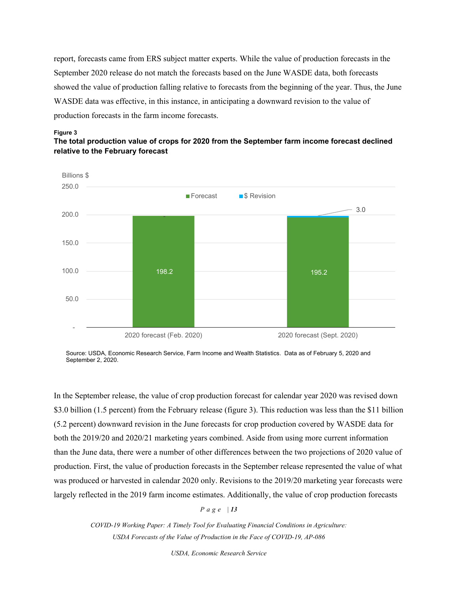report, forecasts came from ERS subject matter experts. While the value of production forecasts in the September 2020 release do not match the forecasts based on the June WASDE data, both forecasts showed the value of production falling relative to forecasts from the beginning of the year. Thus, the June WASDE data was effective, in this instance, in anticipating a downward revision to the value of production forecasts in the farm income forecasts.



**The total production value of crops for 2020 from the September farm income forecast declined relative to the February forecast**



Source: USDA, Economic Research Service, Farm Income and Wealth Statistics. Data as of February 5, 2020 and September 2, 2020.

In the September release, the value of crop production forecast for calendar year 2020 was revised down \$3.0 billion (1.5 percent) from the February release (figure 3). This reduction was less than the \$11 billion (5.2 percent) downward revision in the June forecasts for crop production covered by WASDE data for both the 2019/20 and 2020/21 marketing years combined. Aside from using more current information than the June data, there were a number of other differences between the two projections of 2020 value of production. First, the value of production forecasts in the September release represented the value of what was produced or harvested in calendar 2020 only. Revisions to the 2019/20 marketing year forecasts were largely reflected in the 2019 farm income estimates. Additionally, the value of crop production forecasts

*Page | 13*

*COVID-19 Working Paper: A Timely Tool for Evaluating Financial Conditions in Agriculture: USDA Forecasts of the Value of Production in the Face of COVID-19, AP-086*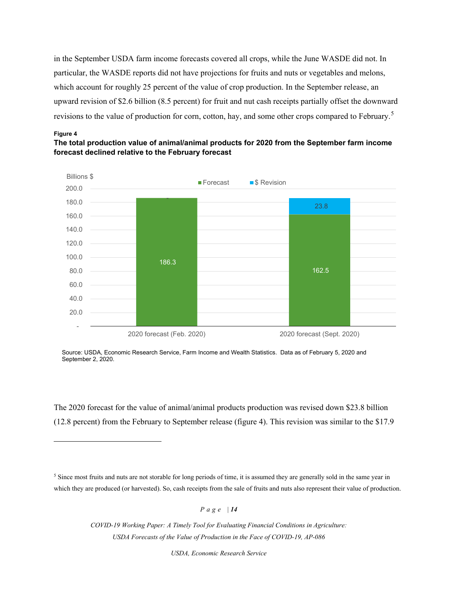in the September USDA farm income forecasts covered all crops, while the June WASDE did not. In particular, the WASDE reports did not have projections for fruits and nuts or vegetables and melons, which account for roughly 25 percent of the value of crop production. In the September release, an upward revision of \$2.6 billion (8.5 percent) for fruit and nut cash receipts partially offset the downward revisions to the value of production for corn, cotton, hay, and some other crops compared to February.[5](#page-13-0)

#### **Figure 4**





Source: USDA, Economic Research Service, Farm Income and Wealth Statistics. Data as of February 5, 2020 and September 2, 2020.

The 2020 forecast for the value of animal/animal products production was revised down \$23.8 billion (12.8 percent) from the February to September release (figure 4). This revision was similar to the \$17.9

*Page | 14*

*COVID-19 Working Paper: A Timely Tool for Evaluating Financial Conditions in Agriculture: USDA Forecasts of the Value of Production in the Face of COVID-19, AP-086* 

<span id="page-13-0"></span><sup>&</sup>lt;sup>5</sup> Since most fruits and nuts are not storable for long periods of time, it is assumed they are generally sold in the same year in which they are produced (or harvested). So, cash receipts from the sale of fruits and nuts also represent their value of production.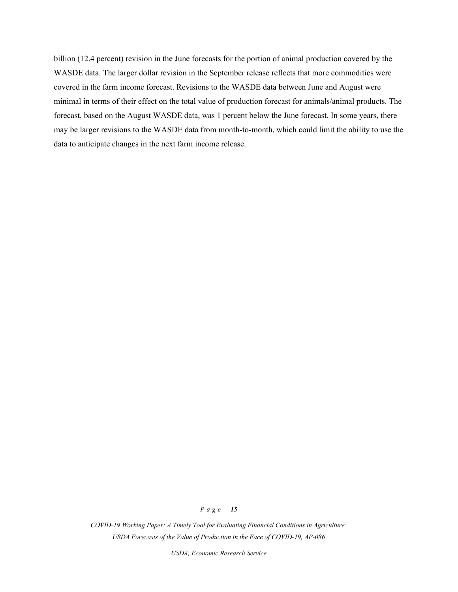billion (12.4 percent) revision in the June forecasts for the portion of animal production covered by the WASDE data. The larger dollar revision in the September release reflects that more commodities were covered in the farm income forecast. Revisions to the WASDE data between June and August were minimal in terms of their effect on the total value of production forecast for animals/animal products. The forecast, based on the August WASDE data, was 1 percent below the June forecast. In some years, there may be larger revisions to the WASDE data from month-to-month, which could limit the ability to use the data to anticipate changes in the next farm income release.

#### *Page | 15*

*COVID-19 Working Paper: A Timely Tool for Evaluating Financial Conditions in Agriculture: USDA Forecasts of the Value of Production in the Face of COVID-19, AP-086*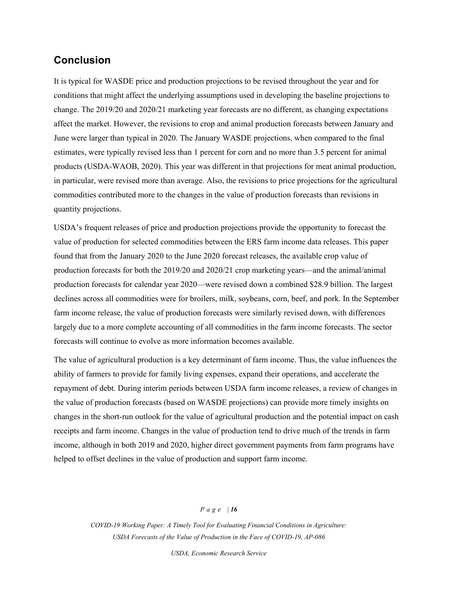# **Conclusion**

It is typical for WASDE price and production projections to be revised throughout the year and for conditions that might affect the underlying assumptions used in developing the baseline projections to change. The 2019/20 and 2020/21 marketing year forecasts are no different, as changing expectations affect the market. However, the revisions to crop and animal production forecasts between January and June were larger than typical in 2020. The January WASDE projections, when compared to the final estimates, were typically revised less than 1 percent for corn and no more than 3.5 percent for animal products (USDA-WAOB, 2020). This year was different in that projections for meat animal production, in particular, were revised more than average. Also, the revisions to price projections for the agricultural commodities contributed more to the changes in the value of production forecasts than revisions in quantity projections.

USDA's frequent releases of price and production projections provide the opportunity to forecast the value of production for selected commodities between the ERS farm income data releases. This paper found that from the January 2020 to the June 2020 forecast releases, the available crop value of production forecasts for both the 2019/20 and 2020/21 crop marketing years—and the animal/animal production forecasts for calendar year 2020—were revised down a combined \$28.9 billion. The largest declines across all commodities were for broilers, milk, soybeans, corn, beef, and pork. In the September farm income release, the value of production forecasts were similarly revised down, with differences largely due to a more complete accounting of all commodities in the farm income forecasts. The sector forecasts will continue to evolve as more information becomes available.

The value of agricultural production is a key determinant of farm income. Thus, the value influences the ability of farmers to provide for family living expenses, expand their operations, and accelerate the repayment of debt. During interim periods between USDA farm income releases, a review of changes in the value of production forecasts (based on WASDE projections) can provide more timely insights on changes in the short-run outlook for the value of agricultural production and the potential impact on cash receipts and farm income. Changes in the value of production tend to drive much of the trends in farm income, although in both 2019 and 2020, higher direct government payments from farm programs have helped to offset declines in the value of production and support farm income.

#### *Page | 16*

*COVID-19 Working Paper: A Timely Tool for Evaluating Financial Conditions in Agriculture: USDA Forecasts of the Value of Production in the Face of COVID-19, AP-086*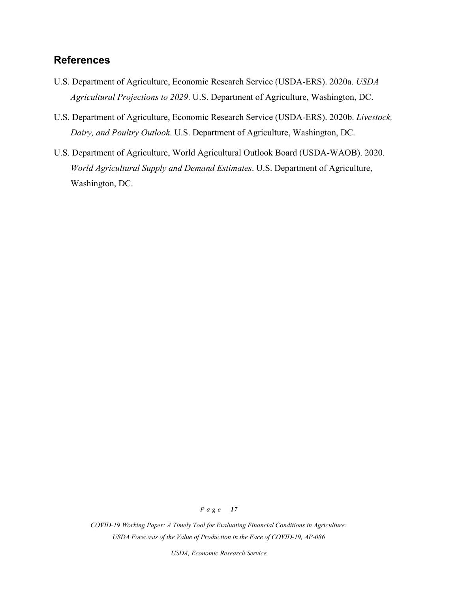# **References**

- U.S. Department of Agriculture, Economic Research Service (USDA-ERS). 2020a. *USDA Agricultural Projections to 2029*. U.S. Department of Agriculture, Washington, DC.
- U.S. Department of Agriculture, Economic Research Service (USDA-ERS). 2020b. *Livestock, Dairy, and Poultry Outlook*. U.S. Department of Agriculture, Washington, DC.
- U.S. Department of Agriculture, World Agricultural Outlook Board (USDA-WAOB). 2020. *World Agricultural Supply and Demand Estimates*. U.S. Department of Agriculture, Washington, DC.

### *Page | 17*

*COVID-19 Working Paper: A Timely Tool for Evaluating Financial Conditions in Agriculture: USDA Forecasts of the Value of Production in the Face of COVID-19, AP-086*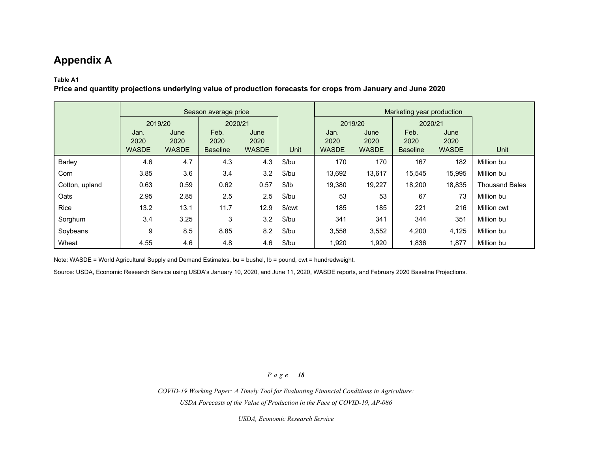# **Appendix A**

# **Table A1**

**Price and quantity projections underlying value of production forecasts for crops from January and June 2020**

|                |              |              | Season average price |              |                    | Marketing year production |              |                 |              |                       |
|----------------|--------------|--------------|----------------------|--------------|--------------------|---------------------------|--------------|-----------------|--------------|-----------------------|
|                | 2019/20      |              | 2020/21              |              |                    | 2019/20                   |              | 2020/21         |              |                       |
|                | Jan.         | June         | Feb.                 | June         |                    | Jan.                      | June         | Feb.            | June         |                       |
|                | 2020         | 2020         | 2020                 | 2020         |                    | 2020                      | 2020         | 2020            | 2020         |                       |
|                | <b>WASDE</b> | <b>WASDE</b> | <b>Baseline</b>      | <b>WASDE</b> | <b>Unit</b>        | <b>WASDE</b>              | <b>WASDE</b> | <b>Baseline</b> | <b>WASDE</b> | Unit                  |
| Barley         | 4.6          | 4.7          | 4.3                  | 4.3          | \$/bu              | 170                       | 170          | 167             | 182          | Million bu            |
| Corn           | 3.85         | 3.6          | 3.4                  | 3.2          | \$/bu              | 13,692                    | 13,617       | 15,545          | 15,995       | Million bu            |
| Cotton, upland | 0.63         | 0.59         | 0.62                 | 0.57         | \$/lb              | 19,380                    | 19,227       | 18,200          | 18,835       | <b>Thousand Bales</b> |
| Oats           | 2.95         | 2.85         | 2.5                  | 2.5          | \$/bu              | 53                        | 53           | 67              | 73           | Million bu            |
| <b>Rice</b>    | 13.2         | 13.1         | 11.7                 | 12.9         | \$/ <sub>cut</sub> | 185                       | 185          | 221             | 216          | Million cwt           |
| Sorghum        | 3.4          | 3.25         | 3                    | 3.2          | $$$ /bu            | 341                       | 341          | 344             | 351          | Million bu            |
| Soybeans       | 9            | 8.5          | 8.85                 | 8.2          | \$/bu              | 3,558                     | 3,552        | 4,200           | 4,125        | Million bu            |
| Wheat          | 4.55         | 4.6          | 4.8                  | 4.6          | \$/bu              | 1,920                     | 1,920        | 1,836           | 1,877        | Million bu            |

Note: WASDE = World Agricultural Supply and Demand Estimates. bu = bushel, lb = pound, cwt = hundredweight.

Source: USDA, Economic Research Service using USDA's January 10, 2020, and June 11, 2020, WASDE reports, and February 2020 Baseline Projections.

### *Page | 18*

*COVID-19 Working Paper: A Timely Tool for Evaluating Financial Conditions in Agriculture: USDA Forecasts of the Value of Production in the Face of COVID-19, AP-086*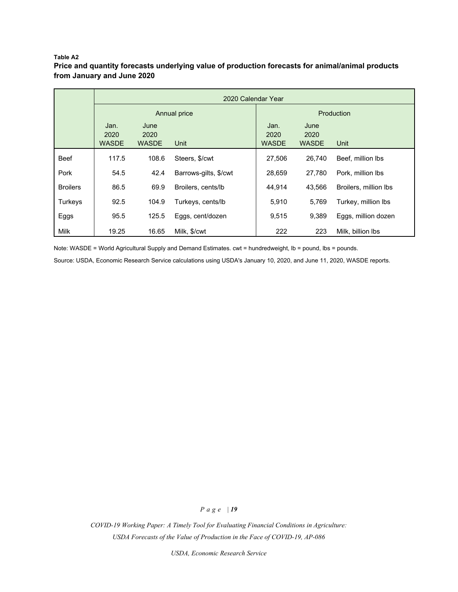#### **Table A2**

# **Price and quantity forecasts underlying value of production forecasts for animal/animal products from January and June 2020**

|                 | 2020 Calendar Year           |                              |                       |                              |                              |                       |  |  |
|-----------------|------------------------------|------------------------------|-----------------------|------------------------------|------------------------------|-----------------------|--|--|
|                 |                              |                              | Annual price          | Production                   |                              |                       |  |  |
|                 | Jan.<br>2020<br><b>WASDE</b> | June<br>2020<br><b>WASDE</b> | Unit                  | Jan.<br>2020<br><b>WASDE</b> | June<br>2020<br><b>WASDE</b> | Unit                  |  |  |
| <b>Beef</b>     | 117.5                        | 108.6                        | Steers, \$/cwt        | 27,506                       | 26.740                       | Beef, million lbs     |  |  |
| Pork            | 54.5                         | 42.4                         | Barrows-gilts, \$/cwt | 28.659                       | 27.780                       | Pork. million lbs     |  |  |
| <b>Broilers</b> | 86.5                         | 69.9                         | Broilers, cents/lb    | 44.914                       | 43.566                       | Broilers, million lbs |  |  |
| Turkeys         | 92.5                         | 104.9                        | Turkeys, cents/lb     | 5,910                        | 5,769                        | Turkey, million lbs   |  |  |
| Eggs            | 95.5                         | 125.5                        | Eggs, cent/dozen      | 9,515                        | 9.389                        | Eggs, million dozen   |  |  |
| Milk            | 19.25                        | 16.65                        | Milk, \$/cwt          | 222                          | 223                          | Milk, billion lbs     |  |  |

Note: WASDE = World Agricultural Supply and Demand Estimates. cwt = hundredweight, lb = pound, lbs = pounds.

Source: USDA, Economic Research Service calculations using USDA's January 10, 2020, and June 11, 2020, WASDE reports.

# *Page | 19*

*COVID-19 Working Paper: A Timely Tool for Evaluating Financial Conditions in Agriculture: USDA Forecasts of the Value of Production in the Face of COVID-19, AP-086*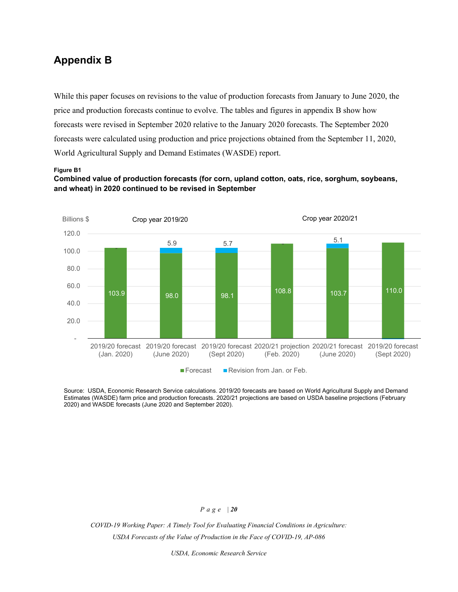# **Appendix B**

While this paper focuses on revisions to the value of production forecasts from January to June 2020, the price and production forecasts continue to evolve. The tables and figures in appendix B show how forecasts were revised in September 2020 relative to the January 2020 forecasts. The September 2020 forecasts were calculated using production and price projections obtained from the September 11, 2020, World Agricultural Supply and Demand Estimates (WASDE) report.

#### **Figure B1**

# **Combined value of production forecasts (for corn, upland cotton, oats, rice, sorghum, soybeans, and wheat) in 2020 continued to be revised in September**



Source: USDA, Economic Research Service calculations. 2019/20 forecasts are based on World Agricultural Supply and Demand Estimates (WASDE) farm price and production forecasts. 2020/21 projections are based on USDA baseline projections (February 2020) and WASDE forecasts (June 2020 and September 2020).

### *Page | 20*

*COVID-19 Working Paper: A Timely Tool for Evaluating Financial Conditions in Agriculture: USDA Forecasts of the Value of Production in the Face of COVID-19, AP-086*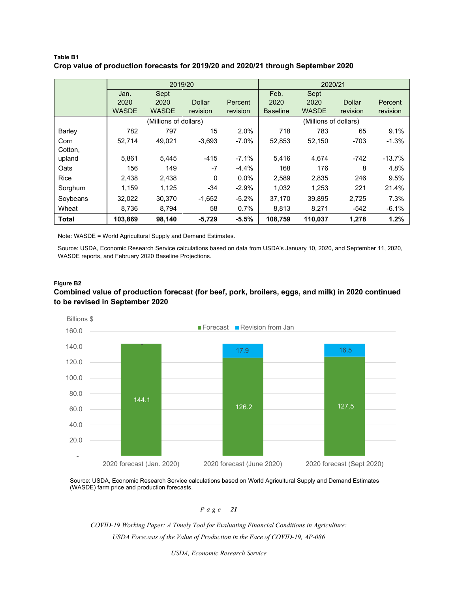### **Table B1 Crop value of production forecasts for 2019/20 and 2020/21 through September 2020**

|              |              | 2019/20               |               |          | 2020/21               |              |               |          |
|--------------|--------------|-----------------------|---------------|----------|-----------------------|--------------|---------------|----------|
|              | Jan.         | Sept                  |               |          | Feb.                  | Sept         |               |          |
|              | 2020         | 2020                  | <b>Dollar</b> | Percent  | 2020                  | 2020         | <b>Dollar</b> | Percent  |
|              | <b>WASDE</b> | <b>WASDE</b>          | revision      | revision | <b>Baseline</b>       | <b>WASDE</b> | revision      | revision |
|              |              | (Millions of dollars) |               |          | (Millions of dollars) |              |               |          |
| Barley       | 782          | 797                   | 15            | 2.0%     | 718                   | 783          | 65            | 9.1%     |
| Corn         | 52,714       | 49,021                | $-3,693$      | $-7.0\%$ | 52,853                | 52,150       | $-703$        | $-1.3%$  |
| Cotton,      |              |                       |               |          |                       |              |               |          |
| upland       | 5,861        | 5,445                 | $-415$        | $-7.1%$  | 5,416                 | 4,674        | $-742$        | $-13.7%$ |
| Oats         | 156          | 149                   | $-7$          | $-4.4%$  | 168                   | 176          | 8             | 4.8%     |
| Rice         | 2,438        | 2,438                 | $\Omega$      | $0.0\%$  | 2,589                 | 2,835        | 246           | 9.5%     |
| Sorghum      | 1,159        | 1,125                 | $-34$         | $-2.9%$  | 1,032                 | 1,253        | 221           | 21.4%    |
| Soybeans     | 32,022       | 30,370                | $-1,652$      | $-5.2%$  | 37,170                | 39,895       | 2,725         | 7.3%     |
| Wheat        | 8,736        | 8,794                 | 58            | 0.7%     | 8,813                 | 8,271        | $-542$        | $-6.1%$  |
| <b>Total</b> | 103.869      | 98,140                | $-5,729$      | $-5.5%$  | 108.759               | 110.037      | 1,278         | 1.2%     |

Note: WASDE = World Agricultural Supply and Demand Estimates.

Source: USDA, Economic Research Service calculations based on data from USDA's January 10, 2020, and September 11, 2020, WASDE reports, and February 2020 Baseline Projections.

### **Figure B2 Combined value of production forecast (for beef, pork, broilers, eggs, and milk) in 2020 continued to be revised in September 2020**



Source: USDA, Economic Research Service calculations based on World Agricultural Supply and Demand Estimates (WASDE) farm price and production forecasts.

*Page | 21*

*COVID-19 Working Paper: A Timely Tool for Evaluating Financial Conditions in Agriculture: USDA Forecasts of the Value of Production in the Face of COVID-19, AP-086*